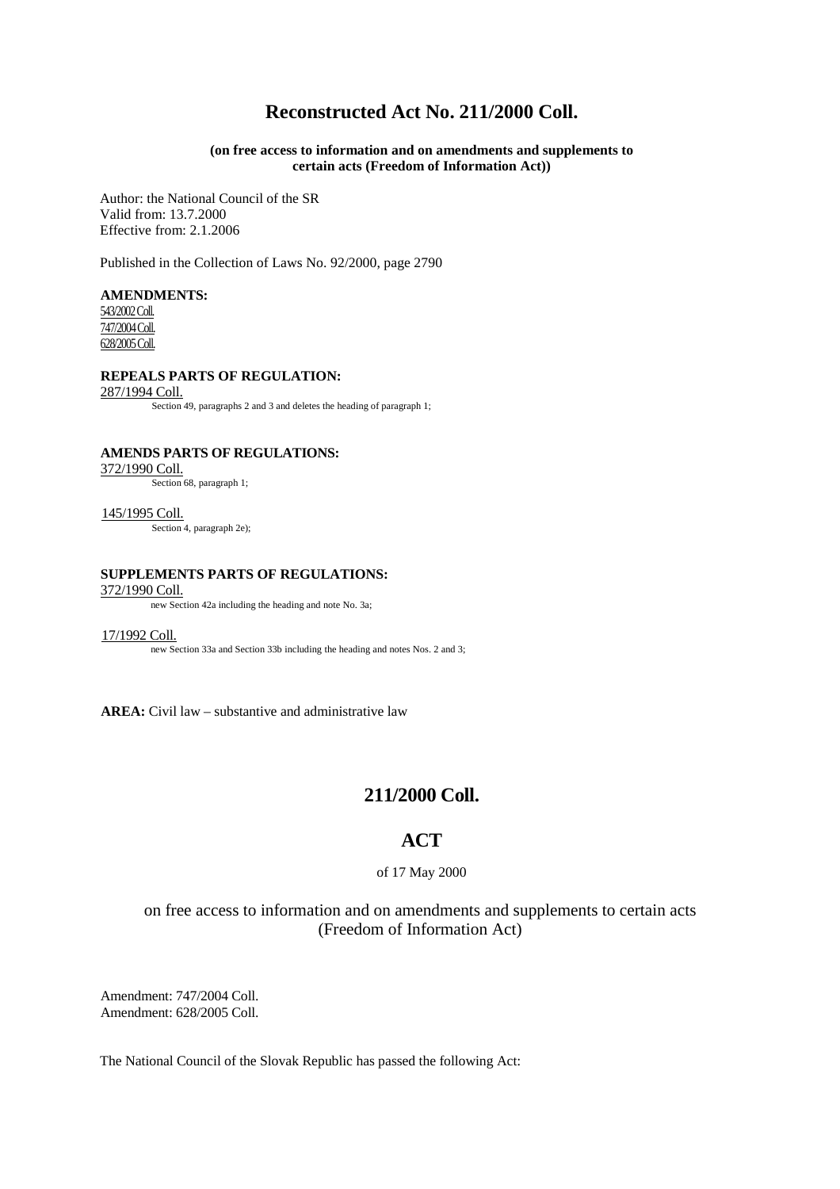# **Reconstructed Act No. 211/2000 Coll.**

## **(on free access to information and on amendments and supplements to certain acts (Freedom of Information Act))**

Author: the National Council of the SR Valid from: 13.7.2000 Effective from: 2.1.2006

Published in the Collection of Laws No. 92/2000, page 2790

**AMENDMENTS:** 543/2002 Coll. 747/2004 Coll. 628/2005 Coll.

#### **REPEALS PARTS OF REGULATION:**

287/1994 Coll.

Section 49, paragraphs 2 and 3 and deletes the heading of paragraph 1;

**AMENDS PARTS OF REGULATIONS:**

372/1990 Coll.

Section 68, paragraph 1;

145/1995 Coll. Section 4, paragraph 2e);

#### **SUPPLEMENTS PARTS OF REGULATIONS:**

#### 372/1990 Coll.

new Section 42a including the heading and note No. 3a;

17/1992 Coll.

new Section 33a and Section 33b including the heading and notes Nos. 2 and 3;

**AREA:** Civil law – substantive and administrative law

## **211/2000 Coll.**

## **ACT**

of 17 May 2000

on free access to information and on amendments and supplements to certain acts (Freedom of Information Act)

Amendment: 747/2004 Coll. Amendment: 628/2005 Coll.

The National Council of the Slovak Republic has passed the following Act: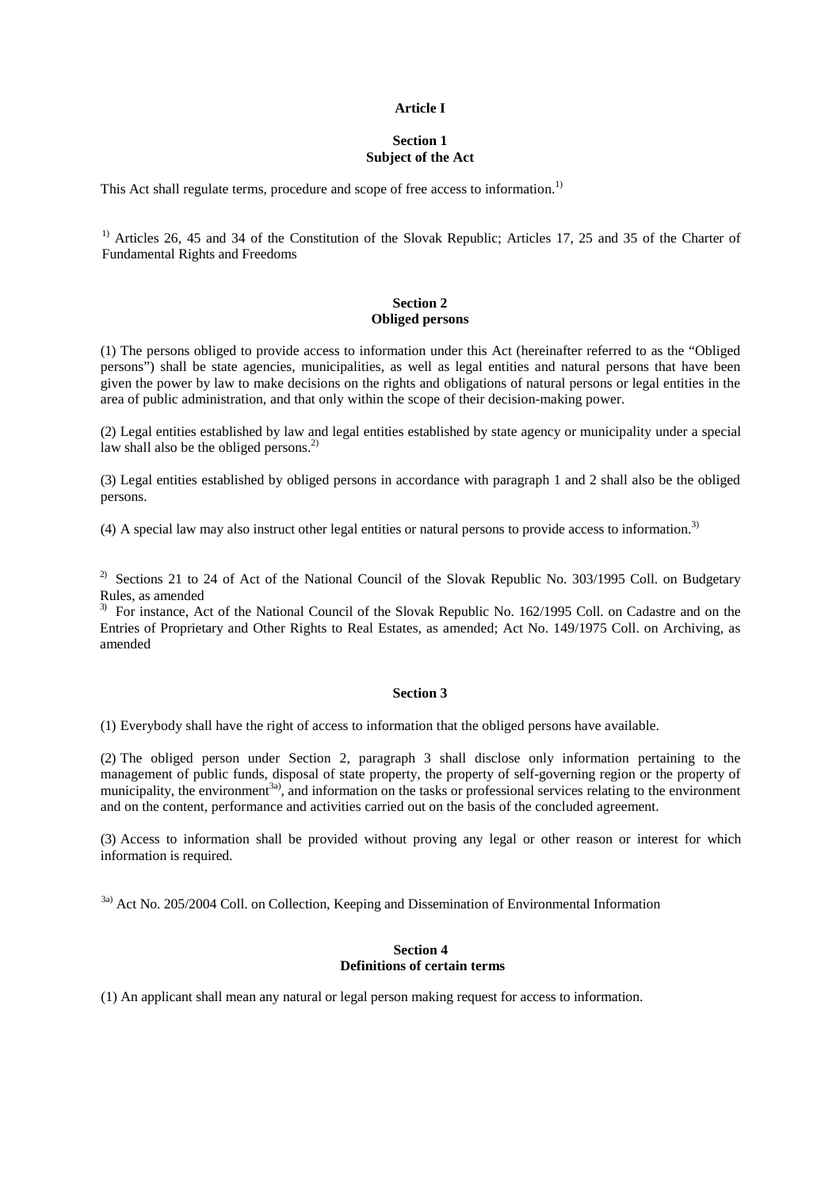#### **Article I**

## **Section 1 Subject of the Act**

This Act shall regulate terms, procedure and scope of free access to information.<sup>1)</sup>

<sup>1)</sup> Articles 26, 45 and 34 of the Constitution of the Slovak Republic; Articles 17, 25 and 35 of the Charter of Fundamental Rights and Freedoms

## **Section 2 Obliged persons**

(1) The persons obliged to provide access to information under this Act (hereinafter referred to as the "Obliged persons") shall be state agencies, municipalities, as well as legal entities and natural persons that have been given the power by law to make decisions on the rights and obligations of natural persons or legal entities in the area of public administration, and that only within the scope of their decision-making power.

(2) Legal entities established by law and legal entities established by state agency or municipality under a special law shall also be the obliged persons.<sup>2)</sup>

(3) Legal entities established by obliged persons in accordance with paragraph 1 and 2 shall also be the obliged persons.

(4) A special law may also instruct other legal entities or natural persons to provide access to information.3)

<sup>2)</sup> Sections 21 to 24 of Act of the National Council of the Slovak Republic No. 303/1995 Coll. on Budgetary Rules, as amended

<sup>3)</sup> For instance, Act of the National Council of the Slovak Republic No. 162/1995 Coll. on Cadastre and on the Entries of Proprietary and Other Rights to Real Estates, as amended; Act No. 149/1975 Coll. on Archiving, as amended

## **Section 3**

(1) Everybody shall have the right of access to information that the obliged persons have available.

(2) The obliged person under Section 2, paragraph 3 shall disclose only information pertaining to the management of public funds, disposal of state property, the property of self-governing region or the property of municipality, the environment<sup>3a</sup>), and information on the tasks or professional services relating to the environment and on the content, performance and activities carried out on the basis of the concluded agreement.

(3) Access to information shall be provided without proving any legal or other reason or interest for which information is required.

<sup>3a)</sup> Act No. 205/2004 Coll. on Collection, Keeping and Dissemination of Environmental Information

#### **Section 4 Definitions of certain terms**

(1) An applicant shall mean any natural or legal person making request for access to information.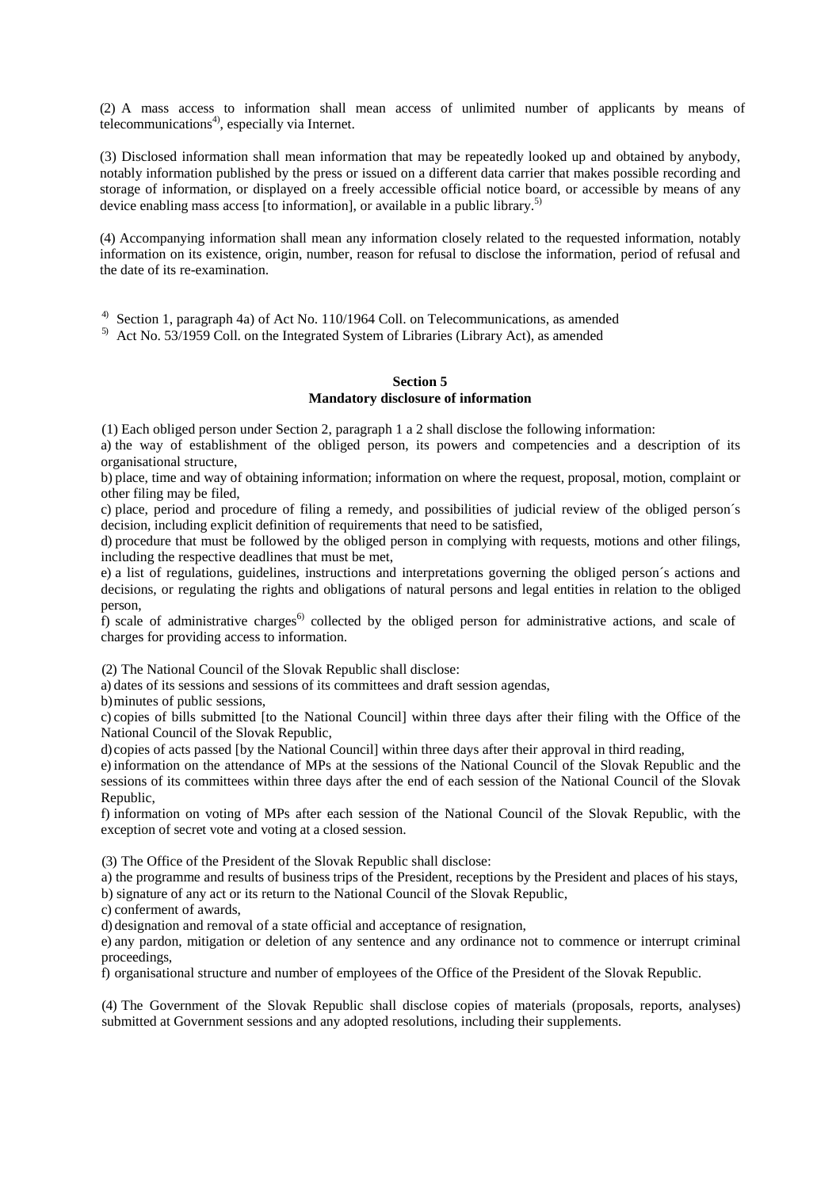(2) A mass access to information shall mean access of unlimited number of applicants by means of telecommunications<sup>4)</sup>, especially via Internet.

(3) Disclosed information shall mean information that may be repeatedly looked up and obtained by anybody, notably information published by the press or issued on a different data carrier that makes possible recording and storage of information, or displayed on a freely accessible official notice board, or accessible by means of any device enabling mass access [to information], or available in a public library.<sup>5)</sup>

(4) Accompanying information shall mean any information closely related to the requested information, notably information on its existence, origin, number, reason for refusal to disclose the information, period of refusal and the date of its re-examination.

<sup>4)</sup> Section 1, paragraph 4a) of Act No. 110/1964 Coll. on Telecommunications, as amended

<sup>5)</sup> Act No. 53/1959 Coll. on the Integrated System of Libraries (Library Act), as amended

## **Section 5 Mandatory disclosure of information**

(1) Each obliged person under Section 2, paragraph 1 a 2 shall disclose the following information:

a) the way of establishment of the obliged person, its powers and competencies and a description of its organisational structure,

b) place, time and way of obtaining information; information on where the request, proposal, motion, complaint or other filing may be filed,

c) place, period and procedure of filing a remedy, and possibilities of judicial review of the obliged person´s decision, including explicit definition of requirements that need to be satisfied,

d) procedure that must be followed by the obliged person in complying with requests, motions and other filings, including the respective deadlines that must be met,

e) a list of regulations, guidelines, instructions and interpretations governing the obliged person´s actions and decisions, or regulating the rights and obligations of natural persons and legal entities in relation to the obliged person,

f) scale of administrative charges<sup>6</sup> collected by the obliged person for administrative actions, and scale of charges for providing access to information.

(2) The National Council of the Slovak Republic shall disclose:

a) dates of its sessions and sessions of its committees and draft session agendas,

b)minutes of public sessions,

c) copies of bills submitted [to the National Council] within three days after their filing with the Office of the National Council of the Slovak Republic,

d) copies of acts passed [by the National Council] within three days after their approval in third reading,

e) information on the attendance of MPs at the sessions of the National Council of the Slovak Republic and the sessions of its committees within three days after the end of each session of the National Council of the Slovak Republic,

f) information on voting of MPs after each session of the National Council of the Slovak Republic, with the exception of secret vote and voting at a closed session.

(3) The Office of the President of the Slovak Republic shall disclose:

a) the programme and results of business trips of the President, receptions by the President and places of his stays, b) signature of any act or its return to the National Council of the Slovak Republic,

c) conferment of awards,

d) designation and removal of a state official and acceptance of resignation,

e) any pardon, mitigation or deletion of any sentence and any ordinance not to commence or interrupt criminal proceedings,

f) organisational structure and number of employees of the Office of the President of the Slovak Republic.

(4) The Government of the Slovak Republic shall disclose copies of materials (proposals, reports, analyses) submitted at Government sessions and any adopted resolutions, including their supplements.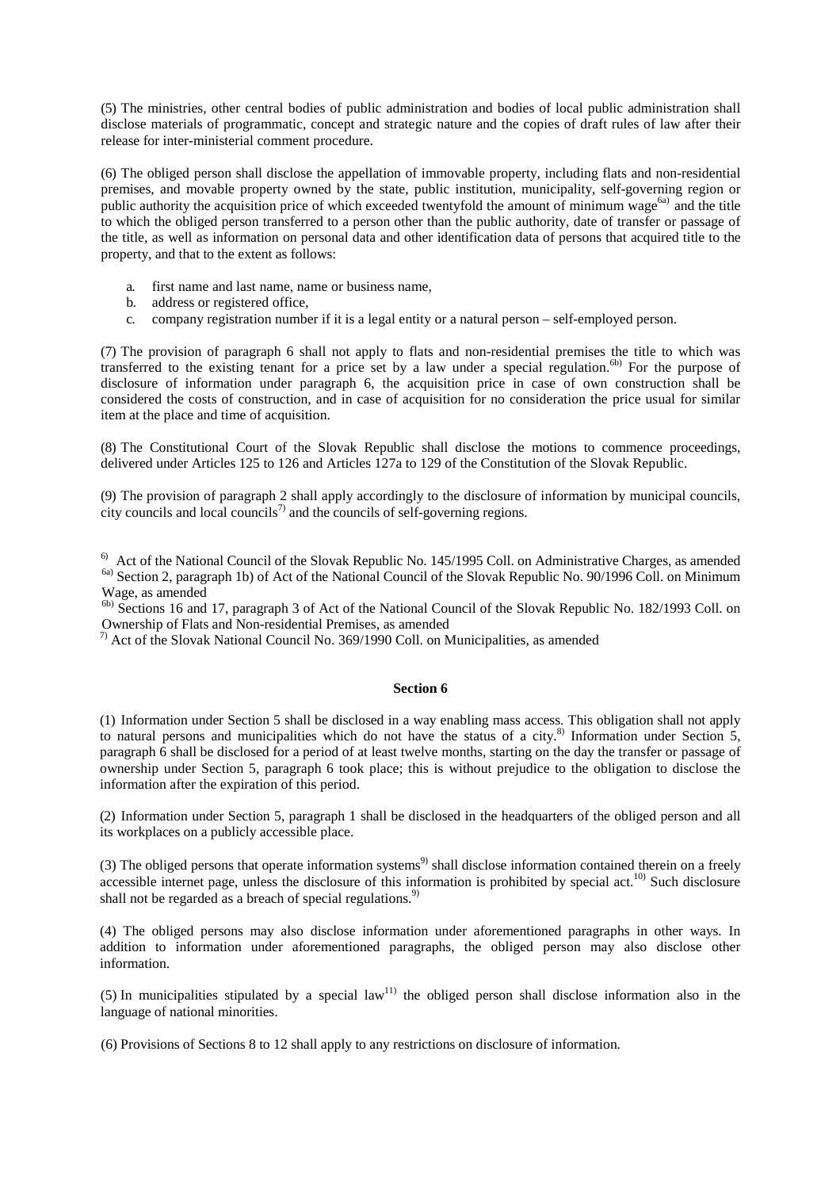(5) The ministries, other central bodies of public administration and bodies of local public administration shall disclose materials of programmatic, concept and strategic nature and the copies of draft rules of law after their release for inter-ministerial comment procedure.

(6) The obliged person shall disclose the appellation of immovable property, including flats and non-residential premises, and movable property owned by the state, public institution, municipality, self-governing region or public authority the acquisition price of which exceeded twentyfold the amount of minimum wage<sup>6a)</sup> and the title to which the obliged person transferred to a person other than the public authority, date of transfer or passage of the title, as well as information on personal data and other identification data of persons that acquired title to the property, and that to the extent as follows:

- a. first name and last name, name or business name,
- b. address or registered office,
- c. company registration number if it is a legal entity or a natural person self-employed person.

(7) The provision of paragraph 6 shall not apply to flats and non-residential premises the title to which was transferred to the existing tenant for a price set by a law under a special regulation.<sup>6b)</sup> For the purpose of disclosure of information under paragraph 6, the acquisition price in case of own construction shall be considered the costs of construction, and in case of acquisition for no consideration the price usual for similar item at the place and time of acquisition.

(8) The Constitutional Court of the Slovak Republic shall disclose the motions to commence proceedings, delivered under Articles 125 to 126 and Articles 127a to 129 of the Constitution of the Slovak Republic.

(9) The provision of paragraph 2 shall apply accordingly to the disclosure of information by municipal councils, city councils and local councils<sup>7)</sup> and the councils of self-governing regions.

 $6<sup>6</sup>$  Act of the National Council of the Slovak Republic No. 145/1995 Coll. on Administrative Charges, as amended <sup>6a)</sup> Section 2, paragraph 1b) of Act of the National Council of the Slovak Republic No. 90/1996 Coll. on Minimum Wage, as amended

6b) Sections 16 and 17, paragraph 3 of Act of the National Council of the Slovak Republic No. 182/1993 Coll. on Ownership of Flats and Non-residential Premises, as amended

 $^{7)}$  Act of the Slovak National Council No. 369/1990 Coll. on Municipalities, as amended

## **Section 6**

(1) Information under Section 5 shall be disclosed in a way enabling mass access. This obligation shall not apply to natural persons and municipalities which do not have the status of a city.<sup>8)</sup> Information under Section 5, paragraph 6 shall be disclosed for a period of at least twelve months, starting on the day the transfer or passage of ownership under Section 5, paragraph 6 took place; this is without prejudice to the obligation to disclose the information after the expiration of this period.

(2) Information under Section 5, paragraph 1 shall be disclosed in the headquarters of the obliged person and all its workplaces on a publicly accessible place.

(3) The obliged persons that operate information systems<sup>9)</sup> shall disclose information contained therein on a freely accessible internet page, unless the disclosure of this information is prohibited by special act.<sup>10)</sup> Such disclosure shall not be regarded as a breach of special regulations.<sup>9)</sup>

(4) The obliged persons may also disclose information under aforementioned paragraphs in other ways. In addition to information under aforementioned paragraphs, the obliged person may also disclose other information.

(5) In municipalities stipulated by a special law<sup>11)</sup> the obliged person shall disclose information also in the language of national minorities.

(6) Provisions of Sections 8 to 12 shall apply to any restrictions on disclosure of information.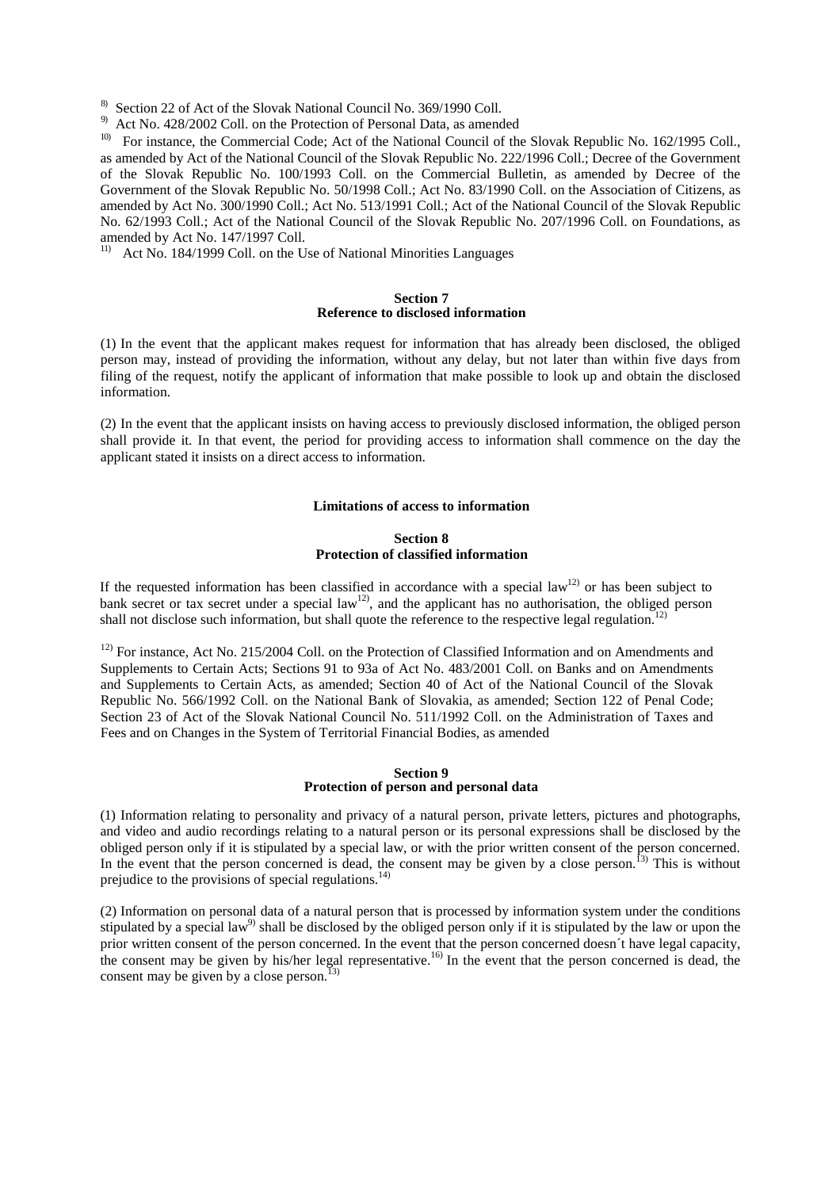8) Section 22 of Act of the Slovak National Council No. 369/1990 Coll.

9) Act No. 428/2002 Coll. on the Protection of Personal Data, as amended

<sup>10)</sup> For instance, the Commercial Code; Act of the National Council of the Slovak Republic No. 162/1995 Coll., as amended by Act of the National Council of the Slovak Republic No. 222/1996 Coll.; Decree of the Government of the Slovak Republic No. 100/1993 Coll. on the Commercial Bulletin, as amended by Decree of the Government of the Slovak Republic No. 50/1998 Coll.; Act No. 83/1990 Coll. on the Association of Citizens, as amended by Act No. 300/1990 Coll.; Act No. 513/1991 Coll.; Act of the National Council of the Slovak Republic No. 62/1993 Coll.; Act of the National Council of the Slovak Republic No. 207/1996 Coll. on Foundations, as amended by Act No. 147/1997 Coll.

<sup>11)</sup> Act No. 184/1999 Coll. on the Use of National Minorities Languages

#### **Section 7 Reference to disclosed information**

(1) In the event that the applicant makes request for information that has already been disclosed, the obliged person may, instead of providing the information, without any delay, but not later than within five days from filing of the request, notify the applicant of information that make possible to look up and obtain the disclosed information.

(2) In the event that the applicant insists on having access to previously disclosed information, the obliged person shall provide it. In that event, the period for providing access to information shall commence on the day the applicant stated it insists on a direct access to information.

## **Limitations of access to information**

#### **Section 8 Protection of classified information**

If the requested information has been classified in accordance with a special law<sup>12)</sup> or has been subject to bank secret or tax secret under a special law<sup>12</sup>), and the applicant has no authorisation, the obliged person shall not disclose such information, but shall quote the reference to the respective legal regulation.<sup>12)</sup>

<sup>12)</sup> For instance, Act No. 215/2004 Coll. on the Protection of Classified Information and on Amendments and Supplements to Certain Acts; Sections 91 to 93a of Act No. 483/2001 Coll. on Banks and on Amendments and Supplements to Certain Acts, as amended; Section 40 of Act of the National Council of the Slovak Republic No. 566/1992 Coll. on the National Bank of Slovakia, as amended; Section 122 of Penal Code; Section 23 of Act of the Slovak National Council No. 511/1992 Coll. on the Administration of Taxes and Fees and on Changes in the System of Territorial Financial Bodies, as amended

#### **Section 9 Protection of person and personal data**

(1) Information relating to personality and privacy of a natural person, private letters, pictures and photographs, and video and audio recordings relating to a natural person or its personal expressions shall be disclosed by the obliged person only if it is stipulated by a special law, or with the prior written consent of the person concerned. In the event that the person concerned is dead, the consent may be given by a close person.<sup>13)</sup> This is without prejudice to the provisions of special regulations.<sup>14)</sup>

(2) Information on personal data of a natural person that is processed by information system under the conditions stipulated by a special law<sup>9)</sup> shall be disclosed by the obliged person only if it is stipulated by the law or upon the prior written consent of the person concerned. In the event that the person concerned doesn´t have legal capacity, the consent may be given by his/her legal representative.<sup>16)</sup> In the event that the person concerned is dead, the consent may be given by a close person.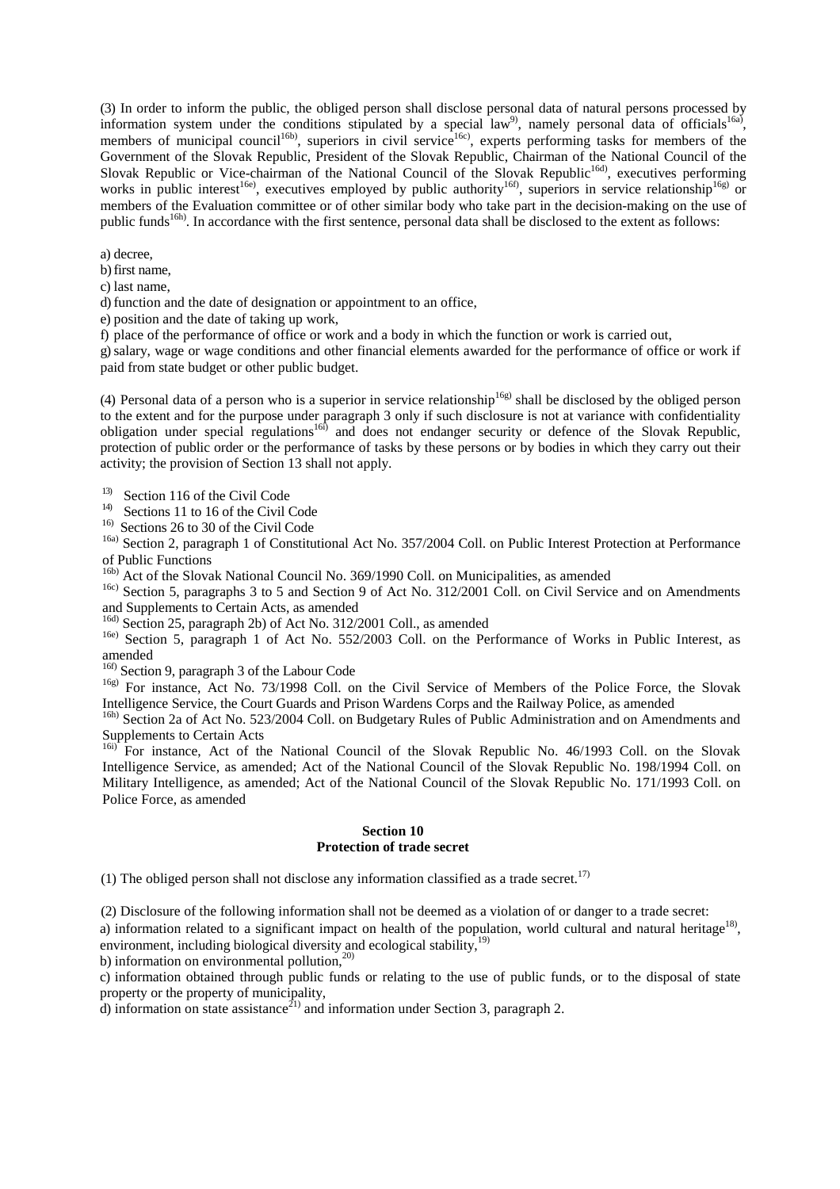(3) In order to inform the public, the obliged person shall disclose personal data of natural persons processed by information system under the conditions stipulated by a special law<sup>9</sup>, namely personal data of officials<sup>16a)</sup>, members of municipal council<sup>16b)</sup>, superiors in civil service<sup>16c)</sup>, experts performing tasks for members of the Government of the Slovak Republic, President of the Slovak Republic, Chairman of the National Council of the Slovak Republic or Vice-chairman of the National Council of the Slovak Republic<sup>16d</sup>, executives performing works in public interest<sup>16e)</sup>, executives employed by public authority<sup>16f)</sup>, superiors in service relationship<sup>16g)</sup> or members of the Evaluation committee or of other similar body who take part in the decision-making on the use of public funds<sup>16h)</sup>. In accordance with the first sentence, personal data shall be disclosed to the extent as follows:

a) decree,

b) first name,

c) last name,

d) function and the date of designation or appointment to an office,

e) position and the date of taking up work,

f) place of the performance of office or work and a body in which the function or work is carried out,

g)salary, wage or wage conditions and other financial elements awarded for the performance of office or work if paid from state budget or other public budget.

(4) Personal data of a person who is a superior in service relationship<sup>16g)</sup> shall be disclosed by the obliged person to the extent and for the purpose under paragraph 3 only if such disclosure is not at variance with confidentiality obligation under special regulations<sup>16f</sup> and does not endanger security or defence of the Slovak Republic, protection of public order or the performance of tasks by these persons or by bodies in which they carry out their activity; the provision of Section 13 shall not apply.

13) Section 116 of the Civil Code

14) Sections 11 to 16 of the Civil Code

16) Sections 26 to 30 of the Civil Code

<sup>16a)</sup> Section 2, paragraph 1 of Constitutional Act No. 357/2004 Coll. on Public Interest Protection at Performance of Public Functions

16b) Act of the Slovak National Council No. 369/1990 Coll. on Municipalities, as amended

<sup>16c)</sup> Section 5, paragraphs 3 to 5 and Section 9 of Act No. 312/2001 Coll. on Civil Service and on Amendments and Supplements to Certain Acts, as amended

16d) Section 25, paragraph 2b) of Act No. 312/2001 Coll., as amended

<sup>16e)</sup> Section 5, paragraph 1 of Act No. 552/2003 Coll. on the Performance of Works in Public Interest, as amended

<sup>16f)</sup> Section 9, paragraph 3 of the Labour Code

<sup>16g)</sup> For instance, Act No. 73/1998 Coll. on the Civil Service of Members of the Police Force, the Slovak Intelligence Service, the Court Guards and Prison Wardens Corps and the Railway Police, as amended

<sup>16h)</sup> Section 2a of Act No. 523/2004 Coll. on Budgetary Rules of Public Administration and on Amendments and Supplements to Certain Acts

16i) For instance, Act of the National Council of the Slovak Republic No. 46/1993 Coll. on the Slovak Intelligence Service, as amended; Act of the National Council of the Slovak Republic No. 198/1994 Coll. on Military Intelligence, as amended; Act of the National Council of the Slovak Republic No. 171/1993 Coll. on Police Force, as amended

## **Section 10 Protection of trade secret**

(1) The obliged person shall not disclose any information classified as a trade secret.<sup>17)</sup>

(2) Disclosure of the following information shall not be deemed as a violation of or danger to a trade secret:

a) information related to a significant impact on health of the population, world cultural and natural heritage $18$ , environment, including biological diversity and ecological stability,<sup>19)</sup>

b) information on environmental pollution, $^{20)}$ 

c) information obtained through public funds or relating to the use of public funds, or to the disposal of state property or the property of municipality,

d) information on state assistance<sup>21</sup> and information under Section 3, paragraph 2.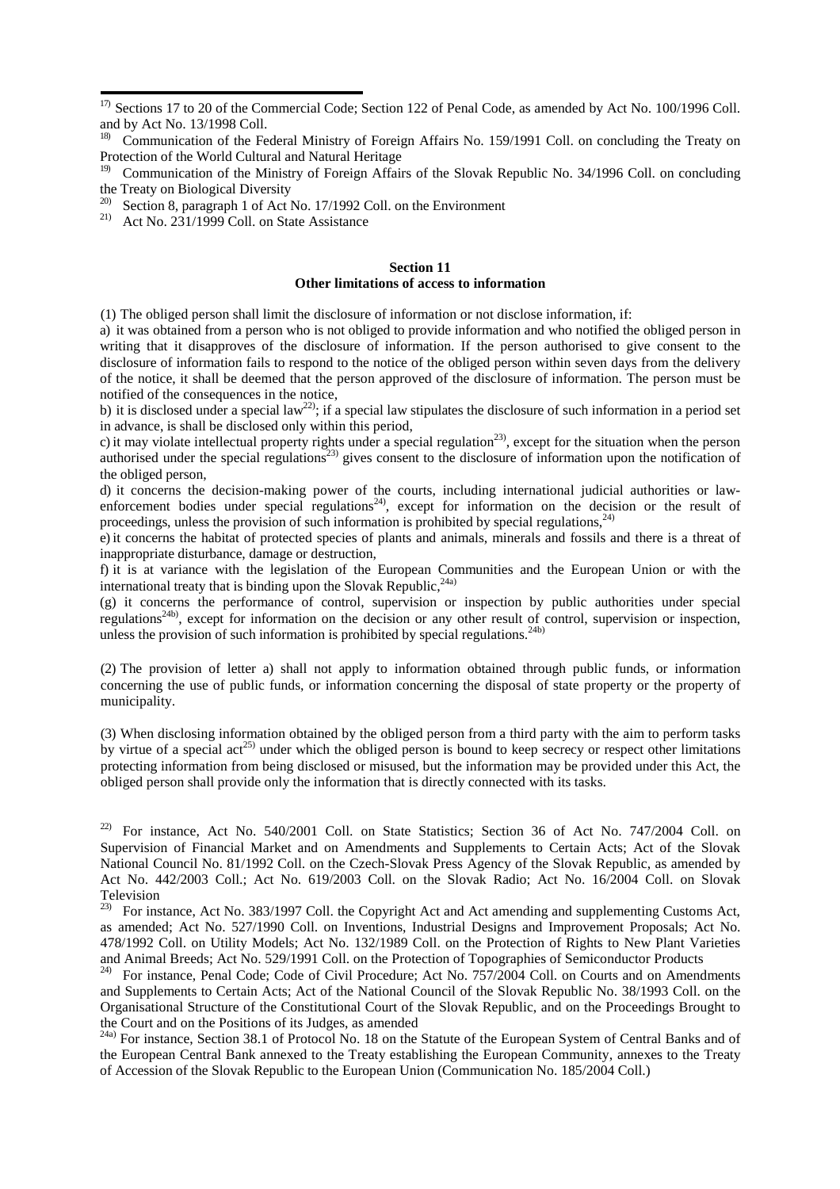<sup>20)</sup> Section 8, paragraph 1 of Act No. 17/1992 Coll. on the Environment

<sup>21)</sup> Act No. 231/1999 Coll. on State Assistance

#### **Section 11 Other limitations of access to information**

(1) The obliged person shall limit the disclosure of information or not disclose information, if:

a) it was obtained from a person who is not obliged to provide information and who notified the obliged person in writing that it disapproves of the disclosure of information. If the person authorised to give consent to the disclosure of information fails to respond to the notice of the obliged person within seven days from the delivery of the notice, it shall be deemed that the person approved of the disclosure of information. The person must be notified of the consequences in the notice,

b) it is disclosed under a special law<sup>22)</sup>; if a special law stipulates the disclosure of such information in a period set in advance, is shall be disclosed only within this period,

c) it may violate intellectual property rights under a special regulation<sup>23)</sup>, except for the situation when the person authorised under the special regulations<sup>23)</sup> gives consent to the disclosure of information upon the notification of the obliged person,

d) it concerns the decision-making power of the courts, including international judicial authorities or lawenforcement bodies under special regulations<sup>24</sup>, except for information on the decision or the result of proceedings, unless the provision of such information is prohibited by special regulations, $^{24}$ )

e) it concerns the habitat of protected species of plants and animals, minerals and fossils and there is a threat of inappropriate disturbance, damage or destruction,

f) it is at variance with the legislation of the European Communities and the European Union or with the international treaty that is binding upon the Slovak Republic,  $24a$ )

(g) it concerns the performance of control, supervision or inspection by public authorities under special regulations24b), except for information on the decision or any other result of control, supervision or inspection, unless the provision of such information is prohibited by special regulations.<sup>24b)</sup>

(2) The provision of letter a) shall not apply to information obtained through public funds, or information concerning the use of public funds, or information concerning the disposal of state property or the property of municipality.

(3) When disclosing information obtained by the obliged person from a third party with the aim to perform tasks by virtue of a special  $\arctan(25)$  under which the obliged person is bound to keep secrecy or respect other limitations protecting information from being disclosed or misused, but the information may be provided under this Act, the obliged person shall provide only the information that is directly connected with its tasks.

<sup>22)</sup> For instance, Act No. 540/2001 Coll. on State Statistics; Section 36 of Act No. 747/2004 Coll. on Supervision of Financial Market and on Amendments and Supplements to Certain Acts; Act of the Slovak National Council No. 81/1992 Coll. on the Czech-Slovak Press Agency of the Slovak Republic, as amended by Act No. 442/2003 Coll.; Act No. 619/2003 Coll. on the Slovak Radio; Act No. 16/2004 Coll. on Slovak Television

<sup>23)</sup> For instance, Act No. 383/1997 Coll. the Copyright Act and Act amending and supplementing Customs Act, as amended; Act No. 527/1990 Coll. on Inventions, Industrial Designs and Improvement Proposals; Act No. 478/1992 Coll. on Utility Models; Act No. 132/1989 Coll. on the Protection of Rights to New Plant Varieties and Animal Breeds; Act No. 529/1991 Coll. on the Protection of Topographies of Semiconductor Products

<sup>24)</sup> For instance, Penal Code; Code of Civil Procedure; Act No. 757/2004 Coll. on Courts and on Amendments and Supplements to Certain Acts; Act of the National Council of the Slovak Republic No. 38/1993 Coll. on the Organisational Structure of the Constitutional Court of the Slovak Republic, and on the Proceedings Brought to the Court and on the Positions of its Judges, as amended

<sup>24a)</sup> For instance, Section 38.1 of Protocol No. 18 on the Statute of the European System of Central Banks and of the European Central Bank annexed to the Treaty establishing the European Community, annexes to the Treaty of Accession of the Slovak Republic to the European Union (Communication No. 185/2004 Coll.)

<sup>&</sup>lt;sup>17)</sup> Sections 17 to 20 of the Commercial Code; Section 122 of Penal Code, as amended by Act No. 100/1996 Coll. and by Act No. 13/1998 Coll.

<sup>&</sup>lt;sup>18)</sup> Communication of the Federal Ministry of Foreign Affairs No. 159/1991 Coll. on concluding the Treaty on Protection of the World Cultural and Natural Heritage

<sup>&</sup>lt;sup>19)</sup> Communication of the Ministry of Foreign Affairs of the Slovak Republic No. 34/1996 Coll. on concluding the Treaty on Biological Diversity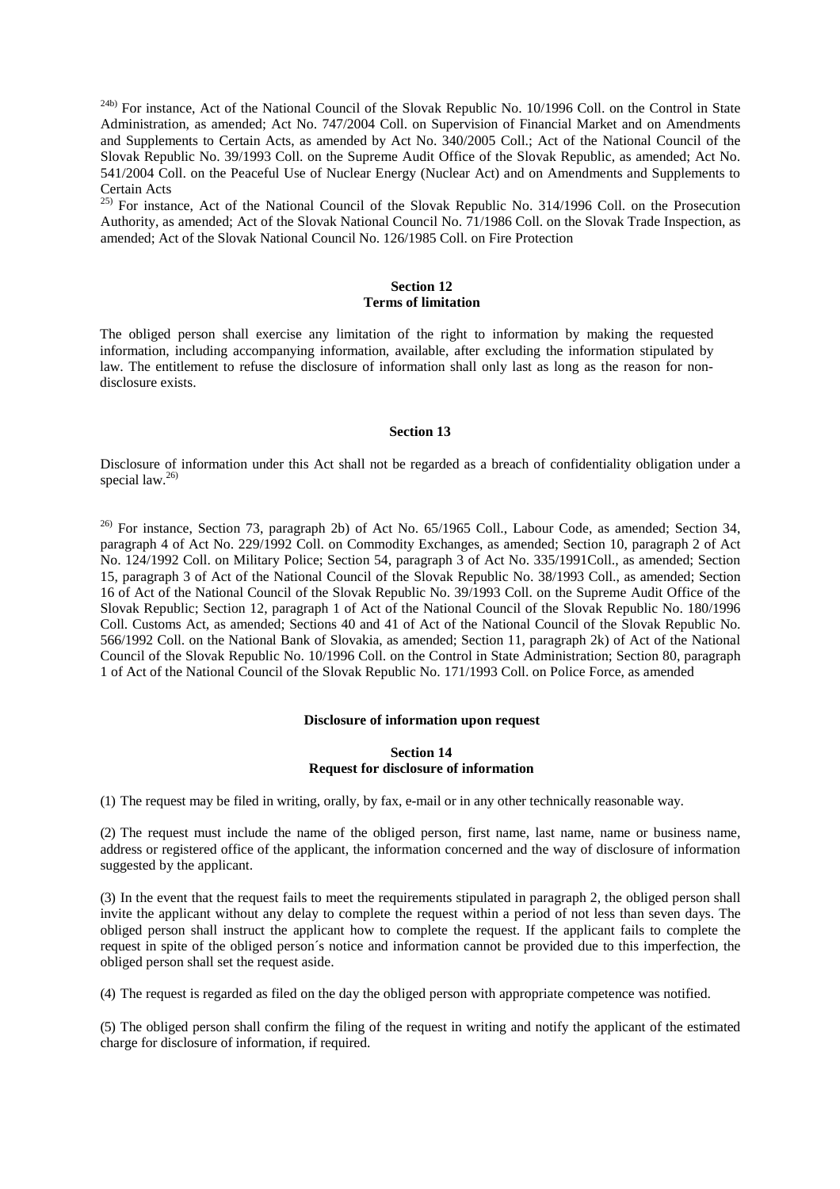$^{24b}$  For instance, Act of the National Council of the Slovak Republic No. 10/1996 Coll. on the Control in State Administration, as amended; Act No. 747/2004 Coll. on Supervision of Financial Market and on Amendments and Supplements to Certain Acts, as amended by Act No. 340/2005 Coll.; Act of the National Council of the Slovak Republic No. 39/1993 Coll. on the Supreme Audit Office of the Slovak Republic, as amended; Act No. 541/2004 Coll. on the Peaceful Use of Nuclear Energy (Nuclear Act) and on Amendments and Supplements to Certain Acts

<sup>25)</sup> For instance, Act of the National Council of the Slovak Republic No. 314/1996 Coll. on the Prosecution Authority, as amended; Act of the Slovak National Council No. 71/1986 Coll. on the Slovak Trade Inspection, as amended; Act of the Slovak National Council No. 126/1985 Coll. on Fire Protection

## **Section 12 Terms of limitation**

The obliged person shall exercise any limitation of the right to information by making the requested information, including accompanying information, available, after excluding the information stipulated by law. The entitlement to refuse the disclosure of information shall only last as long as the reason for nondisclosure exists.

#### **Section 13**

Disclosure of information under this Act shall not be regarded as a breach of confidentiality obligation under a special law. $26$ )

<sup>26)</sup> For instance, Section 73, paragraph 2b) of Act No. 65/1965 Coll., Labour Code, as amended; Section 34, paragraph 4 of Act No. 229/1992 Coll. on Commodity Exchanges, as amended; Section 10, paragraph 2 of Act No. 124/1992 Coll. on Military Police; Section 54, paragraph 3 of Act No. 335/1991Coll., as amended; Section 15, paragraph 3 of Act of the National Council of the Slovak Republic No. 38/1993 Coll., as amended; Section 16 of Act of the National Council of the Slovak Republic No. 39/1993 Coll. on the Supreme Audit Office of the Slovak Republic; Section 12, paragraph 1 of Act of the National Council of the Slovak Republic No. 180/1996 Coll. Customs Act, as amended; Sections 40 and 41 of Act of the National Council of the Slovak Republic No. 566/1992 Coll. on the National Bank of Slovakia, as amended; Section 11, paragraph 2k) of Act of the National Council of the Slovak Republic No. 10/1996 Coll. on the Control in State Administration; Section 80, paragraph 1 of Act of the National Council of the Slovak Republic No. 171/1993 Coll. on Police Force, as amended

#### **Disclosure of information upon request**

## **Section 14 Request for disclosure of information**

(1) The request may be filed in writing, orally, by fax, e-mail or in any other technically reasonable way.

(2) The request must include the name of the obliged person, first name, last name, name or business name, address or registered office of the applicant, the information concerned and the way of disclosure of information suggested by the applicant.

(3) In the event that the request fails to meet the requirements stipulated in paragraph 2, the obliged person shall invite the applicant without any delay to complete the request within a period of not less than seven days. The obliged person shall instruct the applicant how to complete the request. If the applicant fails to complete the request in spite of the obliged person´s notice and information cannot be provided due to this imperfection, the obliged person shall set the request aside.

(4) The request is regarded as filed on the day the obliged person with appropriate competence was notified.

(5) The obliged person shall confirm the filing of the request in writing and notify the applicant of the estimated charge for disclosure of information, if required.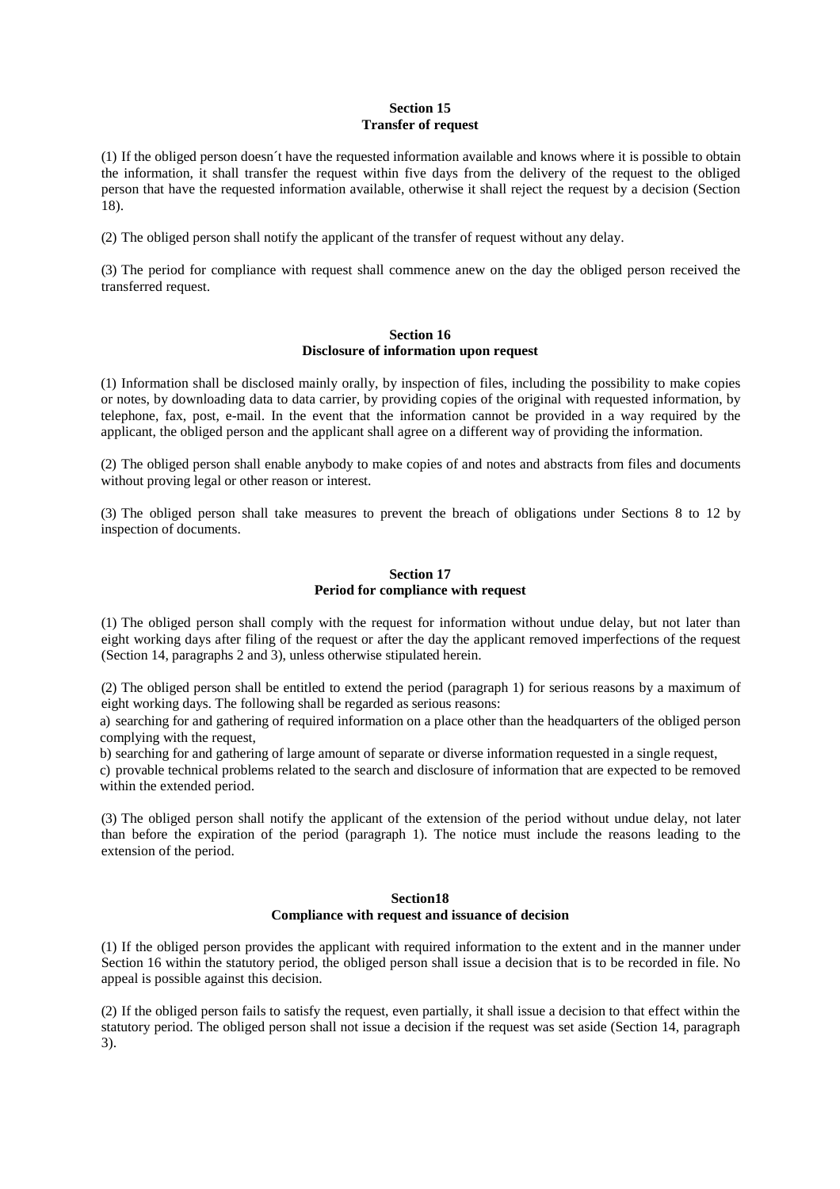## **Section 15 Transfer of request**

(1) If the obliged person doesn´t have the requested information available and knows where it is possible to obtain the information, it shall transfer the request within five days from the delivery of the request to the obliged person that have the requested information available, otherwise it shall reject the request by a decision (Section 18).

(2) The obliged person shall notify the applicant of the transfer of request without any delay.

(3) The period for compliance with request shall commence anew on the day the obliged person received the transferred request.

## **Section 16 Disclosure of information upon request**

(1) Information shall be disclosed mainly orally, by inspection of files, including the possibility to make copies or notes, by downloading data to data carrier, by providing copies of the original with requested information, by telephone, fax, post, e-mail. In the event that the information cannot be provided in a way required by the applicant, the obliged person and the applicant shall agree on a different way of providing the information.

(2) The obliged person shall enable anybody to make copies of and notes and abstracts from files and documents without proving legal or other reason or interest.

(3) The obliged person shall take measures to prevent the breach of obligations under Sections 8 to 12 by inspection of documents.

## **Section 17 Period for compliance with request**

(1) The obliged person shall comply with the request for information without undue delay, but not later than eight working days after filing of the request or after the day the applicant removed imperfections of the request (Section 14, paragraphs 2 and 3), unless otherwise stipulated herein.

(2) The obliged person shall be entitled to extend the period (paragraph 1) for serious reasons by a maximum of eight working days. The following shall be regarded as serious reasons:

a) searching for and gathering of required information on a place other than the headquarters of the obliged person complying with the request,

b) searching for and gathering of large amount of separate or diverse information requested in a single request,

c) provable technical problems related to the search and disclosure of information that are expected to be removed within the extended period.

(3) The obliged person shall notify the applicant of the extension of the period without undue delay, not later than before the expiration of the period (paragraph 1). The notice must include the reasons leading to the extension of the period.

#### **Section18**

#### **Compliance with request and issuance of decision**

(1) If the obliged person provides the applicant with required information to the extent and in the manner under Section 16 within the statutory period, the obliged person shall issue a decision that is to be recorded in file. No appeal is possible against this decision.

(2) If the obliged person fails to satisfy the request, even partially, it shall issue a decision to that effect within the statutory period. The obliged person shall not issue a decision if the request was set aside (Section 14, paragraph 3).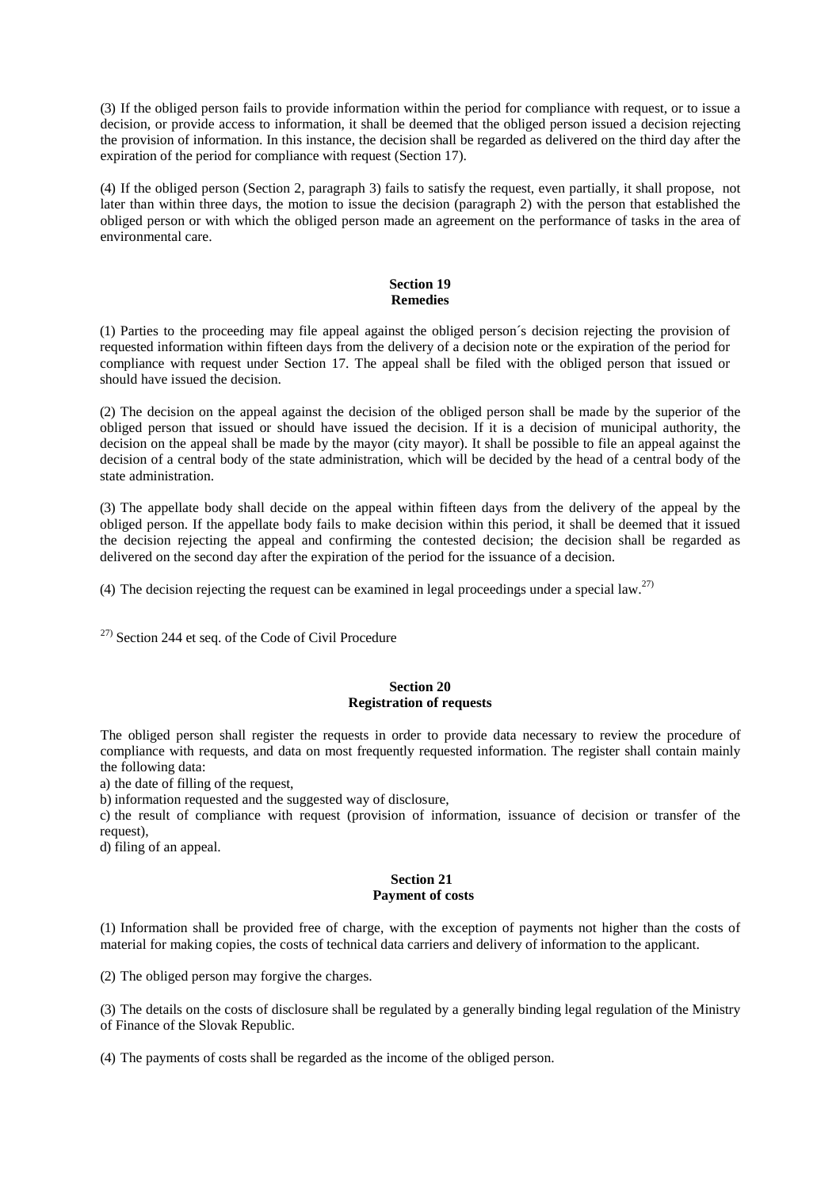(3) If the obliged person fails to provide information within the period for compliance with request, or to issue a decision, or provide access to information, it shall be deemed that the obliged person issued a decision rejecting the provision of information. In this instance, the decision shall be regarded as delivered on the third day after the expiration of the period for compliance with request (Section 17).

(4) If the obliged person (Section 2, paragraph 3) fails to satisfy the request, even partially, it shall propose, not later than within three days, the motion to issue the decision (paragraph 2) with the person that established the obliged person or with which the obliged person made an agreement on the performance of tasks in the area of environmental care.

#### **Section 19 Remedies**

(1) Parties to the proceeding may file appeal against the obliged person´s decision rejecting the provision of requested information within fifteen days from the delivery of a decision note or the expiration of the period for compliance with request under Section 17. The appeal shall be filed with the obliged person that issued or should have issued the decision.

(2) The decision on the appeal against the decision of the obliged person shall be made by the superior of the obliged person that issued or should have issued the decision. If it is a decision of municipal authority, the decision on the appeal shall be made by the mayor (city mayor). It shall be possible to file an appeal against the decision of a central body of the state administration, which will be decided by the head of a central body of the state administration.

(3) The appellate body shall decide on the appeal within fifteen days from the delivery of the appeal by the obliged person. If the appellate body fails to make decision within this period, it shall be deemed that it issued the decision rejecting the appeal and confirming the contested decision; the decision shall be regarded as delivered on the second day after the expiration of the period for the issuance of a decision.

(4) The decision rejecting the request can be examined in legal proceedings under a special law.<sup>27)</sup>

27) Section 244 et seq. of the Code of Civil Procedure

## **Section 20 Registration of requests**

The obliged person shall register the requests in order to provide data necessary to review the procedure of compliance with requests, and data on most frequently requested information. The register shall contain mainly the following data:

a) the date of filling of the request,

b) information requested and the suggested way of disclosure,

c) the result of compliance with request (provision of information, issuance of decision or transfer of the request),

d) filing of an appeal.

#### **Section 21 Payment of costs**

(1) Information shall be provided free of charge, with the exception of payments not higher than the costs of material for making copies, the costs of technical data carriers and delivery of information to the applicant.

(2) The obliged person may forgive the charges.

(3) The details on the costs of disclosure shall be regulated by a generally binding legal regulation of the Ministry of Finance of the Slovak Republic.

(4) The payments of costs shall be regarded as the income of the obliged person.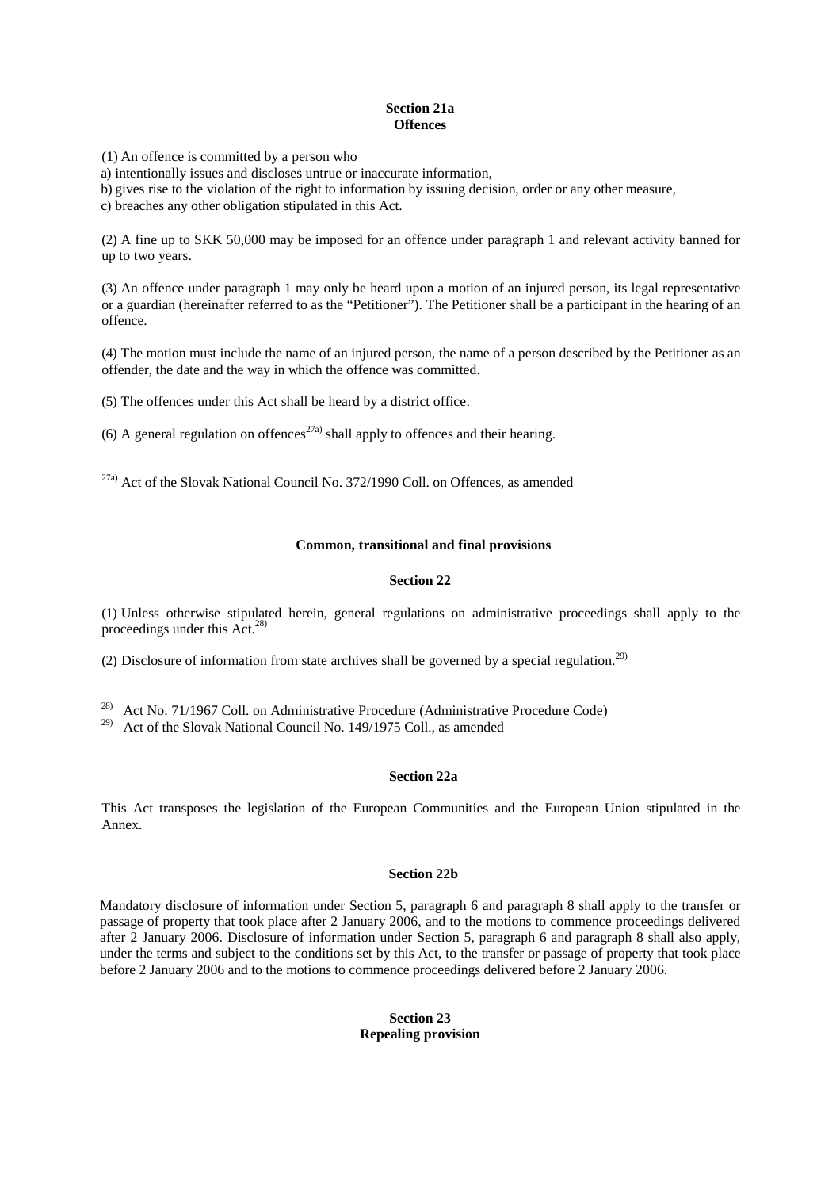## **Section 21a Offences**

(1) An offence is committed by a person who

a) intentionally issues and discloses untrue or inaccurate information,

b) gives rise to the violation of the right to information by issuing decision, order or any other measure,

c) breaches any other obligation stipulated in this Act.

(2) A fine up to SKK 50,000 may be imposed for an offence under paragraph 1 and relevant activity banned for up to two years.

(3) An offence under paragraph 1 may only be heard upon a motion of an injured person, its legal representative or a guardian (hereinafter referred to as the "Petitioner"). The Petitioner shall be a participant in the hearing of an offence.

(4) The motion must include the name of an injured person, the name of a person described by the Petitioner as an offender, the date and the way in which the offence was committed.

(5) The offences under this Act shall be heard by a district office.

(6) A general regulation on offences<sup>27a)</sup> shall apply to offences and their hearing.

27a) Act of the Slovak National Council No. 372/1990 Coll. on Offences, as amended

## **Common, transitional and final provisions**

## **Section 22**

(1) Unless otherwise stipulated herein, general regulations on administrative proceedings shall apply to the proceedings under this  $Act.<sup>28</sup>$ 

(2) Disclosure of information from state archives shall be governed by a special regulation.<sup>29)</sup>

28) Act No. 71/1967 Coll. on Administrative Procedure (Administrative Procedure Code)

29) Act of the Slovak National Council No. 149/1975 Coll., as amended

#### **Section 22a**

This Act transposes the legislation of the European Communities and the European Union stipulated in the Annex.

## **Section 22b**

Mandatory disclosure of information under Section 5, paragraph 6 and paragraph 8 shall apply to the transfer or passage of property that took place after 2 January 2006, and to the motions to commence proceedings delivered after 2 January 2006. Disclosure of information under Section 5, paragraph 6 and paragraph 8 shall also apply, under the terms and subject to the conditions set by this Act, to the transfer or passage of property that took place before 2 January 2006 and to the motions to commence proceedings delivered before 2 January 2006.

## **Section 23 Repealing provision**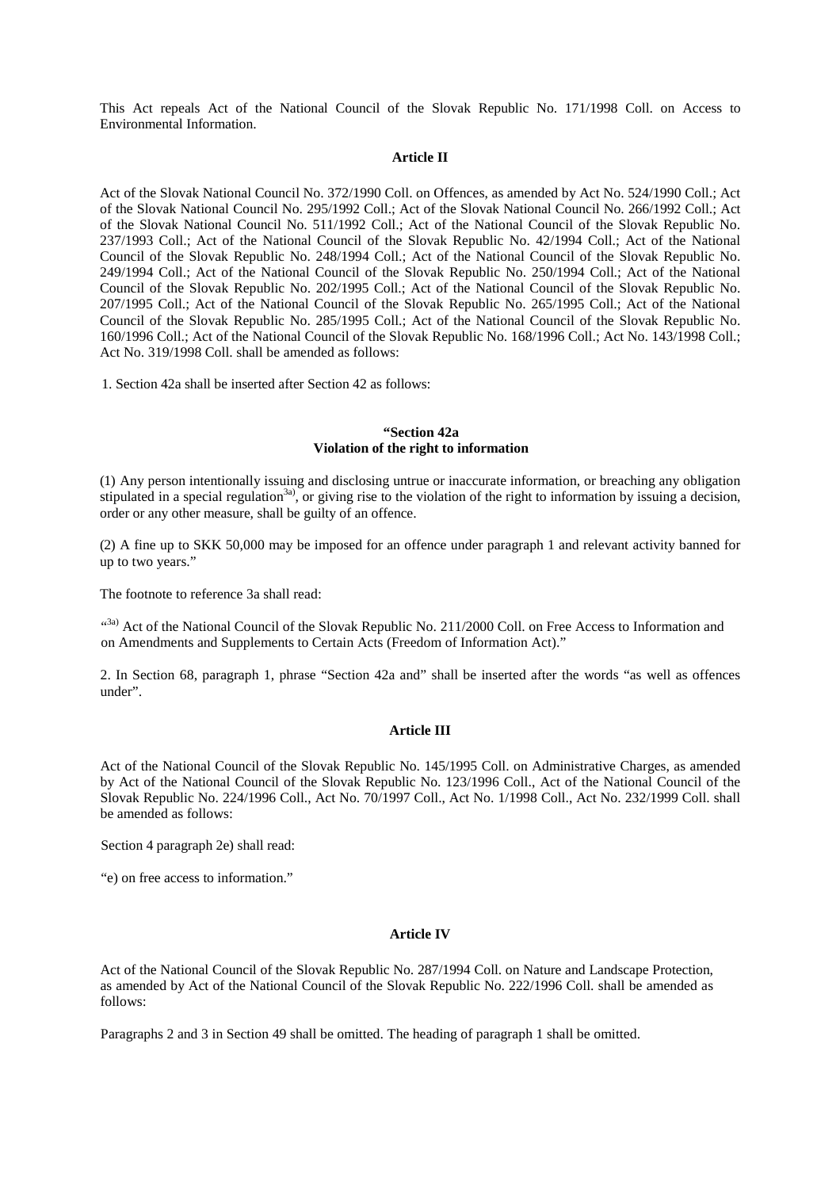This Act repeals Act of the National Council of the Slovak Republic No. 171/1998 Coll. on Access to Environmental Information.

#### **Article II**

Act of the Slovak National Council No. 372/1990 Coll. on Offences, as amended by Act No. 524/1990 Coll.; Act of the Slovak National Council No. 295/1992 Coll.; Act of the Slovak National Council No. 266/1992 Coll.; Act of the Slovak National Council No. 511/1992 Coll.; Act of the National Council of the Slovak Republic No. 237/1993 Coll.; Act of the National Council of the Slovak Republic No. 42/1994 Coll.; Act of the National Council of the Slovak Republic No. 248/1994 Coll.; Act of the National Council of the Slovak Republic No. 249/1994 Coll.; Act of the National Council of the Slovak Republic No. 250/1994 Coll.; Act of the National Council of the Slovak Republic No. 202/1995 Coll.; Act of the National Council of the Slovak Republic No. 207/1995 Coll.; Act of the National Council of the Slovak Republic No. 265/1995 Coll.; Act of the National Council of the Slovak Republic No. 285/1995 Coll.; Act of the National Council of the Slovak Republic No. 160/1996 Coll.; Act of the National Council of the Slovak Republic No. 168/1996 Coll.; Act No. 143/1998 Coll.; Act No. 319/1998 Coll. shall be amended as follows:

1. Section 42a shall be inserted after Section 42 as follows:

## **"Section 42a Violation of the right to information**

(1) Any person intentionally issuing and disclosing untrue or inaccurate information, or breaching any obligation stipulated in a special regulation<sup>3a)</sup>, or giving rise to the violation of the right to information by issuing a decision, order or any other measure, shall be guilty of an offence.

(2) A fine up to SKK 50,000 may be imposed for an offence under paragraph 1 and relevant activity banned for up to two years."

The footnote to reference 3a shall read:

<sup>(3a)</sup> Act of the National Council of the Slovak Republic No. 211/2000 Coll. on Free Access to Information and on Amendments and Supplements to Certain Acts (Freedom of Information Act)."

2. In Section 68, paragraph 1, phrase "Section 42a and" shall be inserted after the words "as well as offences under".

#### **Article III**

Act of the National Council of the Slovak Republic No. 145/1995 Coll. on Administrative Charges, as amended by Act of the National Council of the Slovak Republic No. 123/1996 Coll., Act of the National Council of the Slovak Republic No. 224/1996 Coll., Act No. 70/1997 Coll., Act No. 1/1998 Coll., Act No. 232/1999 Coll. shall be amended as follows:

Section 4 paragraph 2e) shall read:

"e) on free access to information."

#### **Article IV**

Act of the National Council of the Slovak Republic No. 287/1994 Coll. on Nature and Landscape Protection, as amended by Act of the National Council of the Slovak Republic No. 222/1996 Coll. shall be amended as follows:

Paragraphs 2 and 3 in Section 49 shall be omitted. The heading of paragraph 1 shall be omitted.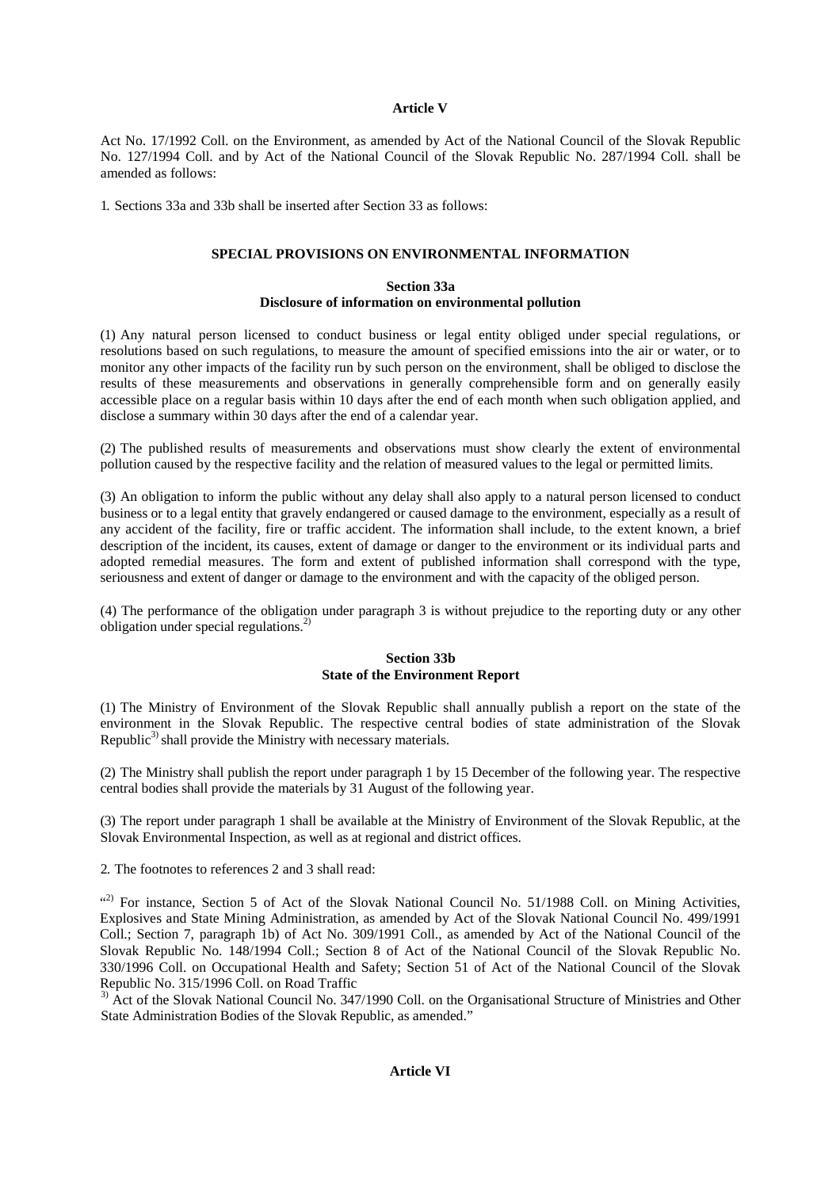#### **Article V**

Act No. 17/1992 Coll. on the Environment, as amended by Act of the National Council of the Slovak Republic No. 127/1994 Coll. and by Act of the National Council of the Slovak Republic No. 287/1994 Coll. shall be amended as follows:

1. Sections 33a and 33b shall be inserted after Section 33 as follows:

## **SPECIAL PROVISIONS ON ENVIRONMENTAL INFORMATION**

## **Section 33a Disclosure of information on environmental pollution**

(1) Any natural person licensed to conduct business or legal entity obliged under special regulations, or resolutions based on such regulations, to measure the amount of specified emissions into the air or water, or to monitor any other impacts of the facility run by such person on the environment, shall be obliged to disclose the results of these measurements and observations in generally comprehensible form and on generally easily accessible place on a regular basis within 10 days after the end of each month when such obligation applied, and disclose a summary within 30 days after the end of a calendar year.

(2) The published results of measurements and observations must show clearly the extent of environmental pollution caused by the respective facility and the relation of measured values to the legal or permitted limits.

(3) An obligation to inform the public without any delay shall also apply to a natural person licensed to conduct business or to a legal entity that gravely endangered or caused damage to the environment, especially as a result of any accident of the facility, fire or traffic accident. The information shall include, to the extent known, a brief description of the incident, its causes, extent of damage or danger to the environment or its individual parts and adopted remedial measures. The form and extent of published information shall correspond with the type, seriousness and extent of danger or damage to the environment and with the capacity of the obliged person.

(4) The performance of the obligation under paragraph 3 is without prejudice to the reporting duty or any other obligation under special regulations.2)

## **Section 33b State of the Environment Report**

(1) The Ministry of Environment of the Slovak Republic shall annually publish a report on the state of the environment in the Slovak Republic. The respective central bodies of state administration of the Slovak Republic<sup>3)</sup> shall provide the Ministry with necessary materials.

(2) The Ministry shall publish the report under paragraph 1 by 15 December of the following year. The respective central bodies shall provide the materials by 31 August of the following year.

(3) The report under paragraph 1 shall be available at the Ministry of Environment of the Slovak Republic, at the Slovak Environmental Inspection, as well as at regional and district offices.

2. The footnotes to references 2 and 3 shall read:

(2) For instance, Section 5 of Act of the Slovak National Council No. 51/1988 Coll. on Mining Activities, Explosives and State Mining Administration, as amended by Act of the Slovak National Council No. 499/1991 Coll.; Section 7, paragraph 1b) of Act No. 309/1991 Coll., as amended by Act of the National Council of the Slovak Republic No. 148/1994 Coll.; Section 8 of Act of the National Council of the Slovak Republic No. 330/1996 Coll. on Occupational Health and Safety; Section 51 of Act of the National Council of the Slovak Republic No. 315/1996 Coll. on Road Traffic

<sup>3)</sup> Act of the Slovak National Council No. 347/1990 Coll. on the Organisational Structure of Ministries and Other State Administration Bodies of the Slovak Republic, as amended."